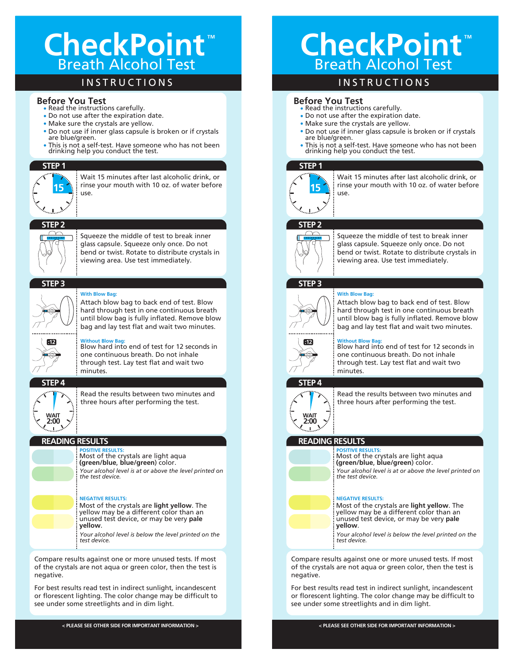## CheckPoint<sup>"</sup> Breath Alcohol Test

## **INSTRUCTIONS**

#### **Before You Test**

- Read the instructions carefully.
- Do not use after the expiration date.
- Make sure the crystals are yellow.
- Do not use if inner glass capsule is broken or if crystals are blue/green.
- This is not a self-test. Have someone who has not been drinking help you conduct the test.

## **STEP 1**



Wait 15 minutes after last alcoholic drink, or rinse your mouth with 10 oz. of water before use. **15**

## **STEP 2**



Squeeze the middle of test to break inner glass capsule. Squeeze only once. Do not bend or twist. Rotate to distribute crystals in viewing area. Use test immediately.

#### **STEP 3**



#### **With Blow Bag:**

Attach blow bag to back end of test. Blow hard through test in one continuous breath until blow bag is fully inflated. Remove blow bag and lay test flat and wait two minutes.



**Without Blow Bag:** Blow hard into end of test for 12 seconds in one continuous breath. Do not inhale through test. Lay test flat and wait two minutes.

## **STEP 4**

**2:00 WAIT**

Read the results between two minutes and three hours after performing the test.

#### **READING RESULTS**

**POSITIVE RESULTS:** Most of the crystals are light aqua **(green/blue**, **blue/green**) color. *Your alcohol level is at or above the level printed on the test device.*

#### **NEGATIVE RESULTS:**

Most of the crystals are **light yellow**. The yellow may be a different color than an unused test device, or may be very **pale yellow**. *Your alcohol level is below the level printed on the* 

*test device.*

Compare results against one or more unused tests. If most of the crystals are not aqua or green color, then the test is negative.

For best results read test in indirect sunlight, incandescent or florescent lighting. The color change may be difficult to see under some streetlights and in dim light.

**< PLEASE SEE OTHER SIDE FOR IMPORTANT INFORMATION >**

# CheckPoint<sup>"</sup> Breath Alcohol Test

## **INSTRUCTIONS**

#### **Before You Test**

- Read the instructions carefully.
- Do not use after the expiration date.
- Make sure the crystals are yellow.
- Do not use if inner glass capsule is broken or if crystals are blue/green.
- This is not a self-test. Have someone who has not been drinking help you conduct the test.

#### **STEP 1**



Wait 15 minutes after last alcoholic drink, or rinse your mouth with 10 oz. of water before use. **15**

## **STEP 2**



Squeeze the middle of test to break inner glass capsule. Squeeze only once. Do not bend or twist. Rotate to distribute crystals in viewing area. Use test immediately.

#### **STEP 3**



**With Blow Bag:** Attach blow bag to back end of test. Blow hard through test in one continuous breath until blow bag is fully inflated. Remove blow bag and lay test flat and wait two minutes.



*the test device.*

**Without Blow Bag:** Blow hard into end of test for 12 seconds in one continuous breath. Do not inhale through test. Lay test flat and wait two minutes.

## **STEP 4**



Read the results between two minutes and three hours after performing the test.

#### **READING RESULTS POSITIVE RESULTS:**



**NEGATIVE RESULTS:** Most of the crystals are **light yellow**. The yellow may be a different color than an

*Your alcohol level is at or above the level printed on* 

unused test device, or may be very **pale yellow**.

Most of the crystals are light aqua **(green/blue**, **blue/green**) color.

*Your alcohol level is below the level printed on the test device.*

Compare results against one or more unused tests. If most of the crystals are not aqua or green color, then the test is negative.

For best results read test in indirect sunlight, incandescent or florescent lighting. The color change may be difficult to see under some streetlights and in dim light.